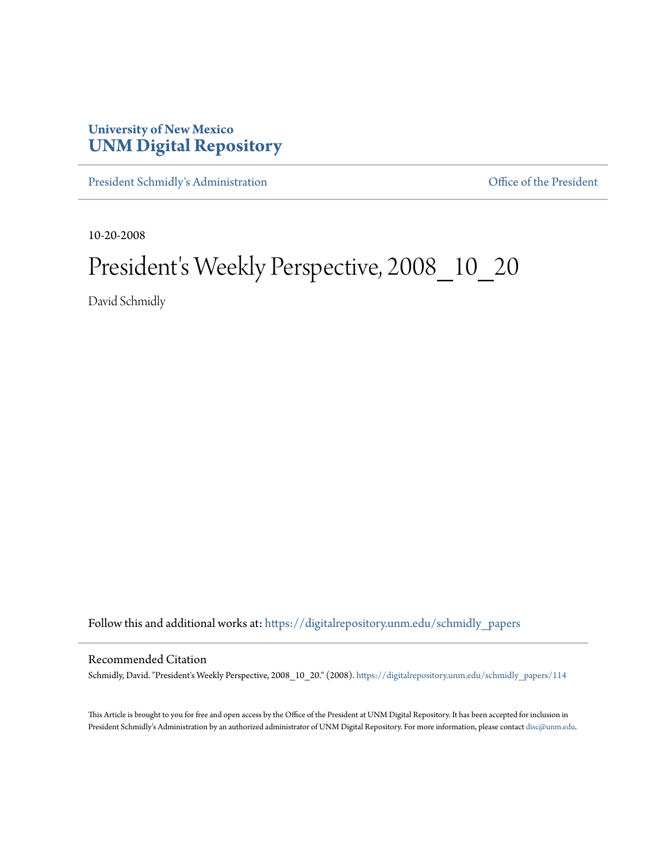## **University of New Mexico [UNM Digital Repository](https://digitalrepository.unm.edu?utm_source=digitalrepository.unm.edu%2Fschmidly_papers%2F114&utm_medium=PDF&utm_campaign=PDFCoverPages)**

[President Schmidly's Administration](https://digitalrepository.unm.edu/schmidly_papers?utm_source=digitalrepository.unm.edu%2Fschmidly_papers%2F114&utm_medium=PDF&utm_campaign=PDFCoverPages) [Office of the President](https://digitalrepository.unm.edu/ofc_president?utm_source=digitalrepository.unm.edu%2Fschmidly_papers%2F114&utm_medium=PDF&utm_campaign=PDFCoverPages)

10-20-2008

## President's Weekly Perspective, 2008\_10\_20

David Schmidly

Follow this and additional works at: [https://digitalrepository.unm.edu/schmidly\\_papers](https://digitalrepository.unm.edu/schmidly_papers?utm_source=digitalrepository.unm.edu%2Fschmidly_papers%2F114&utm_medium=PDF&utm_campaign=PDFCoverPages)

## Recommended Citation

Schmidly, David. "President's Weekly Perspective, 2008\_10\_20." (2008). [https://digitalrepository.unm.edu/schmidly\\_papers/114](https://digitalrepository.unm.edu/schmidly_papers/114?utm_source=digitalrepository.unm.edu%2Fschmidly_papers%2F114&utm_medium=PDF&utm_campaign=PDFCoverPages)

This Article is brought to you for free and open access by the Office of the President at UNM Digital Repository. It has been accepted for inclusion in President Schmidly's Administration by an authorized administrator of UNM Digital Repository. For more information, please contact [disc@unm.edu](mailto:disc@unm.edu).